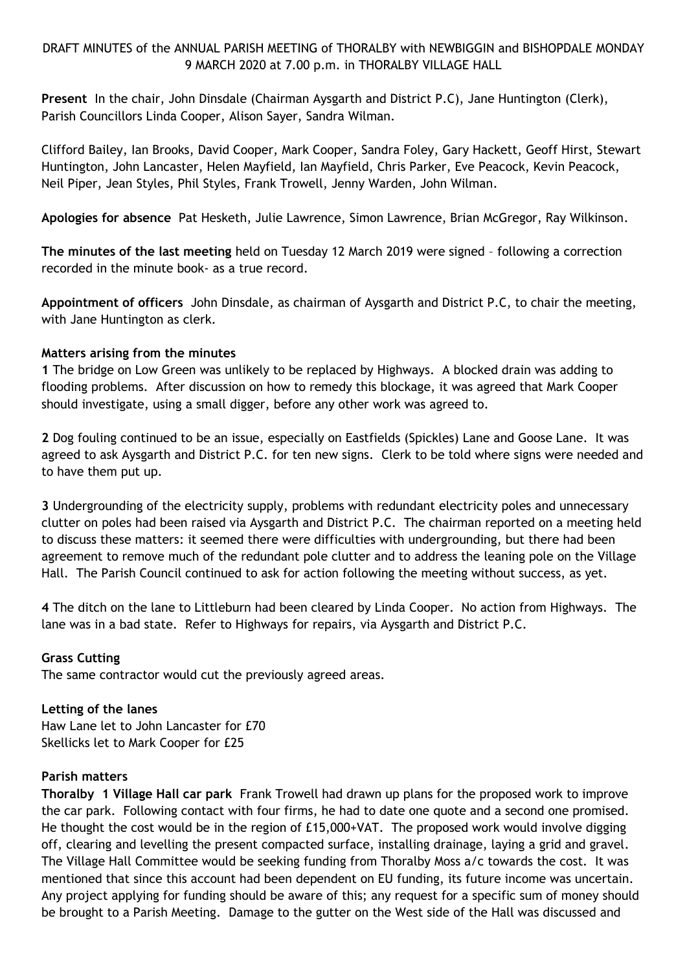# DRAFT MINUTES of the ANNUAL PARISH MEETING of THORALBY with NEWBIGGIN and BISHOPDALE MONDAY 9 MARCH 2020 at 7.00 p.m. in THORALBY VILLAGE HALL

**Present** In the chair, John Dinsdale (Chairman Aysgarth and District P.C), Jane Huntington (Clerk), Parish Councillors Linda Cooper, Alison Sayer, Sandra Wilman.

Clifford Bailey, Ian Brooks, David Cooper, Mark Cooper, Sandra Foley, Gary Hackett, Geoff Hirst, Stewart Huntington, John Lancaster, Helen Mayfield, Ian Mayfield, Chris Parker, Eve Peacock, Kevin Peacock, Neil Piper, Jean Styles, Phil Styles, Frank Trowell, Jenny Warden, John Wilman.

**Apologies for absence** Pat Hesketh, Julie Lawrence, Simon Lawrence, Brian McGregor, Ray Wilkinson.

**The minutes of the last meeting** held on Tuesday 12 March 2019 were signed – following a correction recorded in the minute book- as a true record.

**Appointment of officers** John Dinsdale, as chairman of Aysgarth and District P.C, to chair the meeting, with Jane Huntington as clerk.

### **Matters arising from the minutes**

**1** The bridge on Low Green was unlikely to be replaced by Highways. A blocked drain was adding to flooding problems. After discussion on how to remedy this blockage, it was agreed that Mark Cooper should investigate, using a small digger, before any other work was agreed to.

**2** Dog fouling continued to be an issue, especially on Eastfields (Spickles) Lane and Goose Lane. It was agreed to ask Aysgarth and District P.C. for ten new signs. Clerk to be told where signs were needed and to have them put up.

**3** Undergrounding of the electricity supply, problems with redundant electricity poles and unnecessary clutter on poles had been raised via Aysgarth and District P.C. The chairman reported on a meeting held to discuss these matters: it seemed there were difficulties with undergrounding, but there had been agreement to remove much of the redundant pole clutter and to address the leaning pole on the Village Hall. The Parish Council continued to ask for action following the meeting without success, as yet.

**4** The ditch on the lane to Littleburn had been cleared by Linda Cooper. No action from Highways. The lane was in a bad state. Refer to Highways for repairs, via Aysgarth and District P.C.

# **Grass Cutting**

The same contractor would cut the previously agreed areas.

#### **Letting of the lanes** Haw Lane let to John Lancaster for £70

Skellicks let to Mark Cooper for £25

### **Parish matters**

**Thoralby 1 Village Hall car park** Frank Trowell had drawn up plans for the proposed work to improve the car park. Following contact with four firms, he had to date one quote and a second one promised. He thought the cost would be in the region of £15,000+VAT. The proposed work would involve digging off, clearing and levelling the present compacted surface, installing drainage, laying a grid and gravel. The Village Hall Committee would be seeking funding from Thoralby Moss a/c towards the cost. It was mentioned that since this account had been dependent on EU funding, its future income was uncertain. Any project applying for funding should be aware of this; any request for a specific sum of money should be brought to a Parish Meeting. Damage to the gutter on the West side of the Hall was discussed and